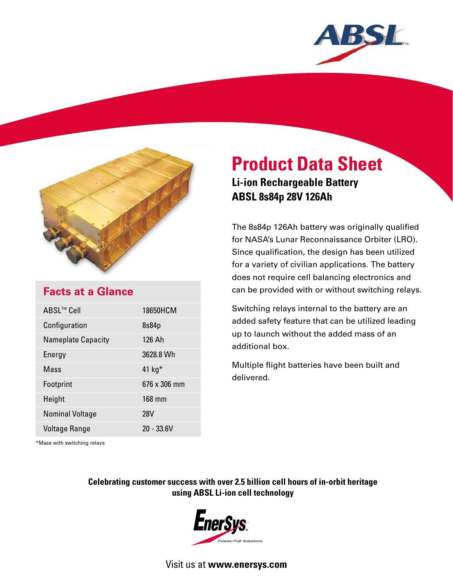



## **Facts at a Glance**

| ABSL™ Cell                | 18650HCM     |
|---------------------------|--------------|
| Configuration             | 8s84p        |
| <b>Nameplate Capacity</b> | 126 Ah       |
| Energy                    | 3628.8 Wh    |
| Mass                      | 41 $kg*$     |
| Footprint                 | 676 x 306 mm |
| Height                    | 168 mm       |
| <b>Nominal Voltage</b>    | <b>28V</b>   |
| <b>Voltage Range</b>      | $20 - 33.6V$ |

# **Product Data Sheet Li-ion Rechargeable Battery ABSL 8s84p 28V 126Ah**

The 8s84p 126Ah battery was originally qualified for NASA's Lunar Reconnaissance Orbiter (LRO). Since qualification, the design has been utilized for a variety of civilian applications. The battery does not require cell balancing electronics and can be provided with or without switching relays.

Switching relays internal to the battery are an added safety feature that can be utilized leading up to launch without the added mass of an additional box.

Multiple flight batteries have been built and delivered.

\*Mass with switching relays

### **Celebrating customer success with over 2.5 billion cell hours of in-orbit heritage using ABSL Li-ion cell technology**



Visit us at **www.enersys.com**